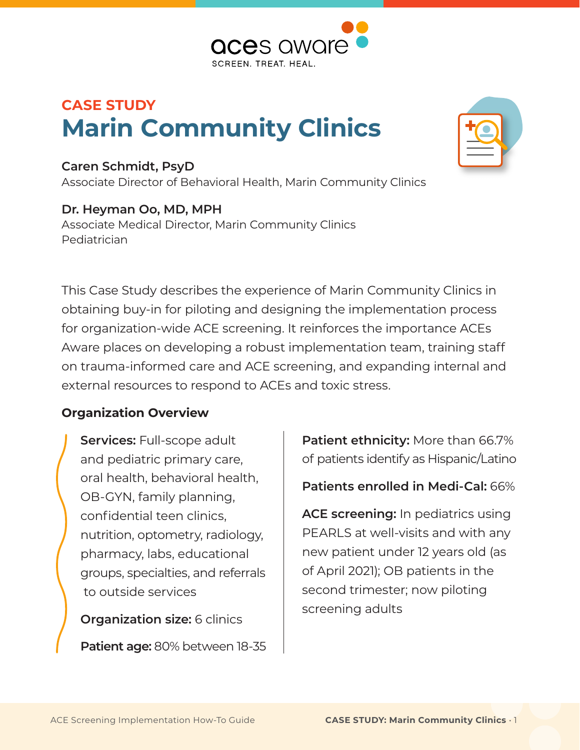

# **CASE STUDY Marin Community Clinics**

### **Caren Schmidt, PsyD**

Associate Director of Behavioral Health, Marin Community Clinics

### **Dr. Heyman Oo, MD, MPH**

Associate Medical Director, Marin Community Clinics Pediatrician

This Case Study describes the experience of Marin Community Clinics in obtaining buy-in for piloting and designing the implementation process for organization-wide ACE screening. It reinforces the importance ACEs Aware places on developing a robust implementation team, training staff on trauma-informed care and ACE screening, and expanding internal and external resources to respond to ACEs and toxic stress.

### **Organization Overview**

**Services:** Full-scope adult and pediatric primary care, oral health, behavioral health, OB-GYN, family planning, confidential teen clinics, nutrition, optometry, radiology, pharmacy, labs, educational groups, specialties, and referrals to outside services

**Organization size:** 6 clinics

**Patient age:** 80% between 18-35

**Patient ethnicity:** More than 66.7% of patients identify as Hispanic/Latino

**Patients enrolled in Medi-Cal:** 66%

**ACE screening:** In pediatrics using PEARLS at well-visits and with any new patient under 12 years old (as of April 2021); OB patients in the second trimester; now piloting screening adults

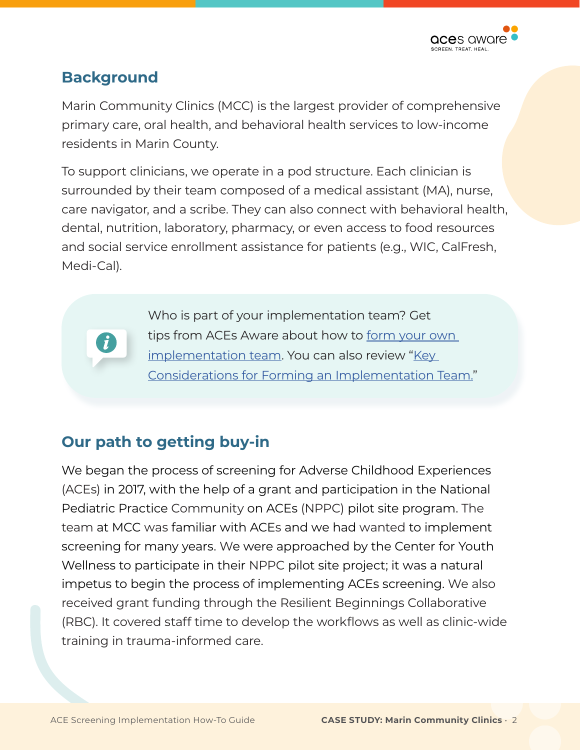

### **Background**

Marin Community Clinics (MCC) is the largest provider of comprehensive primary care, oral health, and behavioral health services to low-income residents in Marin County.

To support clinicians, we operate in a pod structure. Each clinician is surrounded by their team composed of a medical assistant (MA), nurse, care navigator, and a scribe. They can also connect with behavioral health, dental, nutrition, laboratory, pharmacy, or even access to food resources and social service enrollment assistance for patients (e.g., WIC, CalFresh, Medi-Cal).

> Who is part of your implementation team? Get tips from ACEs Aware about how to [form your own](https://www.acesaware.org/implement-screening/stage-1-prepare-foundation/step-3-form-an-implementation-plan/)  [implementation team](https://www.acesaware.org/implement-screening/stage-1-prepare-foundation/step-3-form-an-implementation-plan/). You can also review "[Key](https://www.acesaware.org/wp-content/uploads/2021/05/Key-Considerations-for-Forming-an-Implementation-Team.pdf)  [Considerations for Forming an Implementation Team.](https://www.acesaware.org/wp-content/uploads/2021/05/Key-Considerations-for-Forming-an-Implementation-Team.pdf)"

### **Our path to getting buy-in**

We began the process of screening for Adverse Childhood Experiences (ACEs) in 2017, with the help of a grant and participation in the National Pediatric Practice Community on ACEs (NPPC) pilot site program. The team at MCC was familiar with ACEs and we had wanted to implement screening for many years. We were approached by the Center for Youth Wellness to participate in their NPPC pilot site project; it was a natural impetus to begin the process of implementing ACEs screening. We also received grant funding through the Resilient Beginnings Collaborative (RBC). It covered staff time to develop the workflows as well as clinic-wide training in trauma-informed care.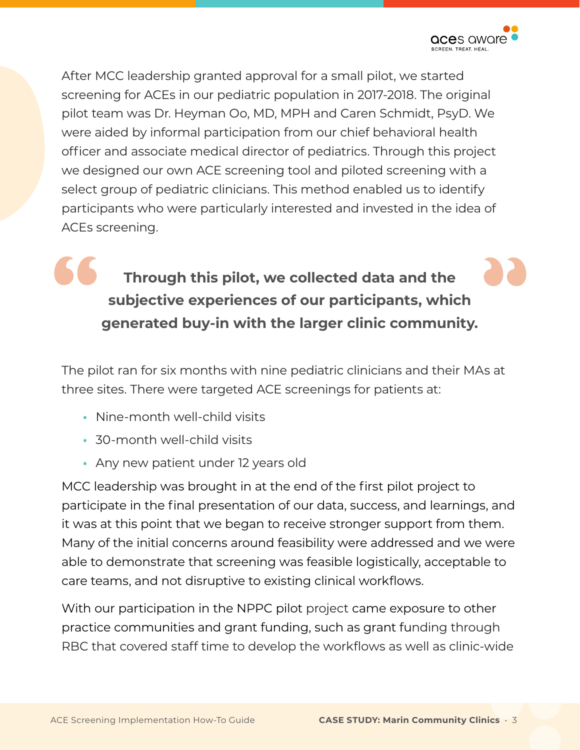

After MCC leadership granted approval for a small pilot, we started screening for ACEs in our pediatric population in 2017-2018. The original pilot team was Dr. Heyman Oo, MD, MPH and Caren Schmidt, PsyD. We were aided by informal participation from our chief behavioral health officer and associate medical director of pediatrics. Through this project we designed our own ACE screening tool and piloted screening with a select group of pediatric clinicians. This method enabled us to identify participants who were particularly interested and invested in the idea of ACEs screening.

## Through this pilot, we collected data and the<br>subjective experiences of our participants, which<br>generated buy-in with the larger clinic community. **Through this pilot, we collected data and the subjective experiences of our participants, which generated buy-in with the larger clinic community.**

The pilot ran for six months with nine pediatric clinicians and their MAs at three sites. There were targeted ACE screenings for patients at:

- Nine-month well-child visits
- 30-month well-child visits
- Any new patient under 12 years old

MCC leadership was brought in at the end of the first pilot project to participate in the final presentation of our data, success, and learnings, and it was at this point that we began to receive stronger support from them. Many of the initial concerns around feasibility were addressed and we were able to demonstrate that screening was feasible logistically, acceptable to care teams, and not disruptive to existing clinical workflows.

With our participation in the NPPC pilot project came exposure to other practice communities and grant funding, such as grant funding through RBC that covered staff time to develop the workflows as well as clinic-wide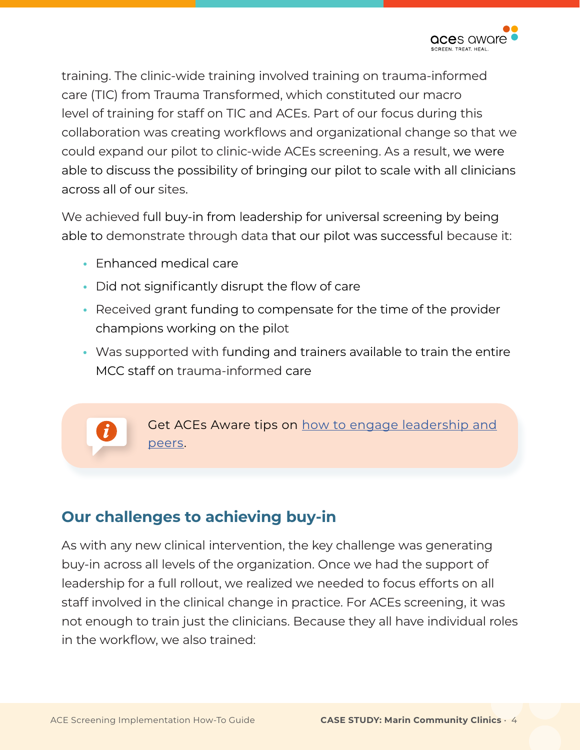

training. The clinic-wide training involved training on trauma-informed care (TIC) from Trauma Transformed, which constituted our macro level of training for staff on TIC and ACEs. Part of our focus during this collaboration was creating workflows and organizational change so that we could expand our pilot to clinic-wide ACEs screening. As a result, we were able to discuss the possibility of bringing our pilot to scale with all clinicians across all of our sites.

We achieved full buy-in from leadership for universal screening by being able to demonstrate through data that our pilot was successful because it:

- **•** Enhanced medical care
- **•** Did not significantly disrupt the flow of care
- Received grant funding to compensate for the time of the provider champions working on the pilot
- Was supported with funding and trainers available to train the entire MCC staff on trauma-informed care

Get ACEs Aware tips on [how to engage leadership and](https://www.acesaware.org/implement-screening/stage-1-prepare-foundation/step-2-engage-leadership-peers/)  [peers](https://www.acesaware.org/implement-screening/stage-1-prepare-foundation/step-2-engage-leadership-peers/).

### **Our challenges to achieving buy-in**

As with any new clinical intervention, the key challenge was generating buy-in across all levels of the organization. Once we had the support of leadership for a full rollout, we realized we needed to focus efforts on all staff involved in the clinical change in practice. For ACEs screening, it was not enough to train just the clinicians. Because they all have individual roles in the workflow, we also trained: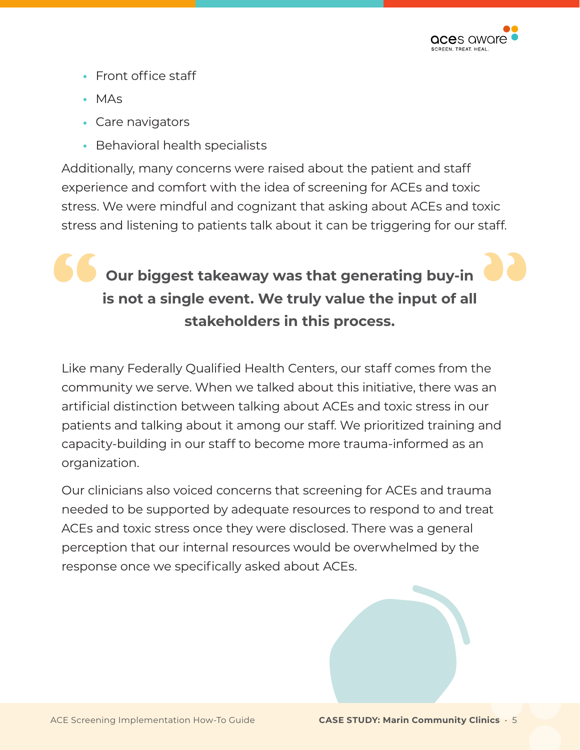

- Front office staff
- MAs
- **•** Care navigators
- Behavioral health specialists

Additionally, many concerns were raised about the patient and staff experience and comfort with the idea of screening for ACEs and toxic stress. We were mindful and cognizant that asking about ACEs and toxic stress and listening to patients talk about it can be triggering for our staff.

## **18**<br> **18**<br> **18**<br> **18**<br> **18**<br> **18**<br> **18**<br> **18**<br> **18**<br> **18**<br> **18**<br> **18**<br> **18**<br> **18**<br> **18**<br> **18**<br> **18**<br> **18**<br> **18**<br> **18**<br> **18**<br> **18**<br> **18**<br> **18**<br> **18**<br> **18**<br> **18**<br> **18**<br> **18**<br> **18**<br> **18**<br> **18**<br> **18**<br> **18**<br> **18**<br> **18**<br> **18**<br> **Our biggest takeaway was that generating buy-in is not a single event. We truly value the input of all stakeholders in this process.**

Like many Federally Qualified Health Centers, our staff comes from the community we serve. When we talked about this initiative, there was an artificial distinction between talking about ACEs and toxic stress in our patients and talking about it among our staff. We prioritized training and capacity-building in our staff to become more trauma-informed as an organization.

Our clinicians also voiced concerns that screening for ACEs and trauma needed to be supported by adequate resources to respond to and treat ACEs and toxic stress once they were disclosed. There was a general perception that our internal resources would be overwhelmed by the response once we specifically asked about ACEs.

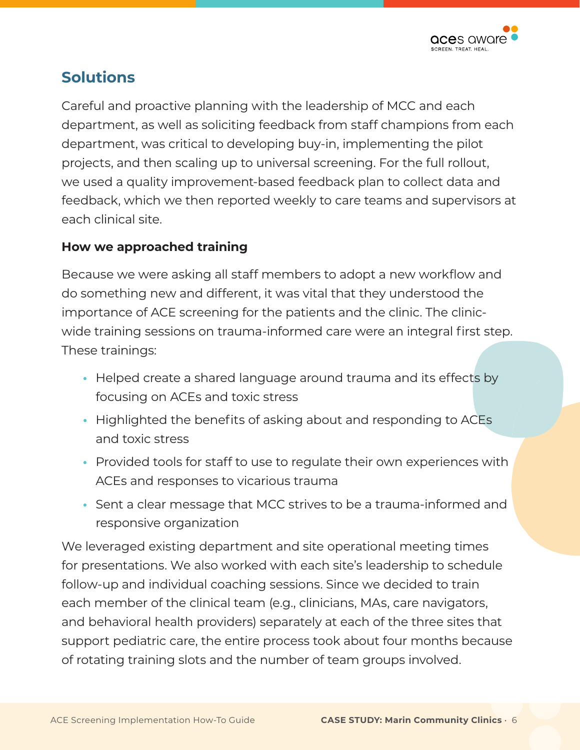

### **Solutions**

Careful and proactive planning with the leadership of MCC and each department, as well as soliciting feedback from staff champions from each department, was critical to developing buy-in, implementing the pilot projects, and then scaling up to universal screening. For the full rollout, we used a quality improvement-based feedback plan to collect data and feedback, which we then reported weekly to care teams and supervisors at each clinical site.

### **How we approached training**

Because we were asking all staff members to adopt a new workflow and do something new and different, it was vital that they understood the importance of ACE screening for the patients and the clinic. The clinicwide training sessions on trauma-informed care were an integral first step. These trainings:

- **•** Helped create a shared language around trauma and its effects by focusing on ACEs and toxic stress
- Highlighted the benefits of asking about and responding to ACEs and toxic stress
- Provided tools for staff to use to regulate their own experiences with ACEs and responses to vicarious trauma
- Sent a clear message that MCC strives to be a trauma-informed and responsive organization

We leveraged existing department and site operational meeting times for presentations. We also worked with each site's leadership to schedule follow-up and individual coaching sessions. Since we decided to train each member of the clinical team (e.g., clinicians, MAs, care navigators, and behavioral health providers) separately at each of the three sites that support pediatric care, the entire process took about four months because of rotating training slots and the number of team groups involved.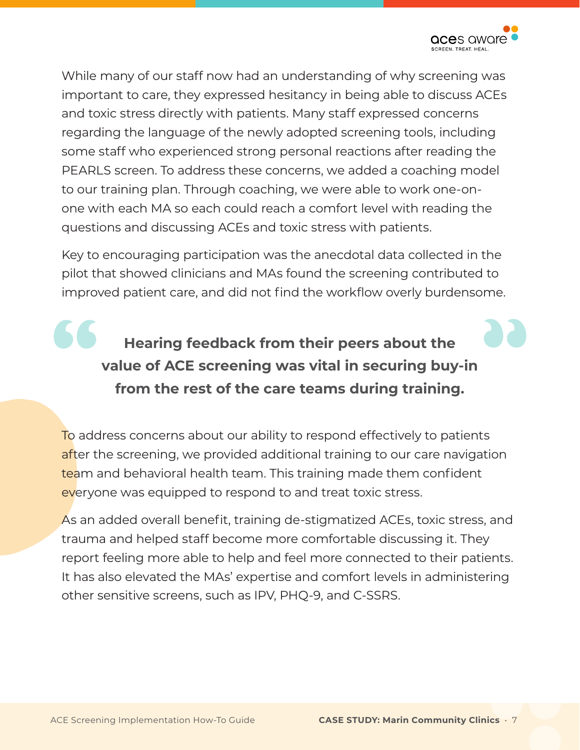

While many of our staff now had an understanding of why screening was important to care, they expressed hesitancy in being able to discuss ACEs and toxic stress directly with patients. Many staff expressed concerns regarding the language of the newly adopted screening tools, including some staff who experienced strong personal reactions after reading the PEARLS screen. To address these concerns, we added a coaching model to our training plan. Through coaching, we were able to work one-onone with each MA so each could reach a comfort level with reading the questions and discussing ACEs and toxic stress with patients.

Key to encouraging participation was the anecdotal data collected in the pilot that showed clinicians and MAs found the screening contributed to improved patient care, and did not find the workflow overly burdensome.

## **18**<br> **18**<br> **18**<br> **18**<br> **18**<br> **18**<br> **18**<br> **18**<br> **18**<br> **18**<br> **18**<br> **18**<br> **18**<br> **18**<br> **18**<br> **18**<br> **19**<br> **19**<br> **19**<br> **199**<br> **1999**<br> **1999**<br> **1999**<br> **1999**<br> **1999**<br> **1999**<br> **1999**<br> **1999**<br> **1999**<br> **1999**<br> **1999**<br> **1999**<br> **1999 Hearing feedback from their peers about the value of ACE screening was vital in securing buy-in from the rest of the care teams during training.**

To address concerns about our ability to respond effectively to patients after the screening, we provided additional training to our care navigation team and behavioral health team. This training made them confident everyone was equipped to respond to and treat toxic stress.

As an added overall benefit, training de-stigmatized ACEs, toxic stress, and trauma and helped staff become more comfortable discussing it. They report feeling more able to help and feel more connected to their patients. It has also elevated the MAs' expertise and comfort levels in administering other sensitive screens, such as IPV, PHQ-9, and C-SSRS.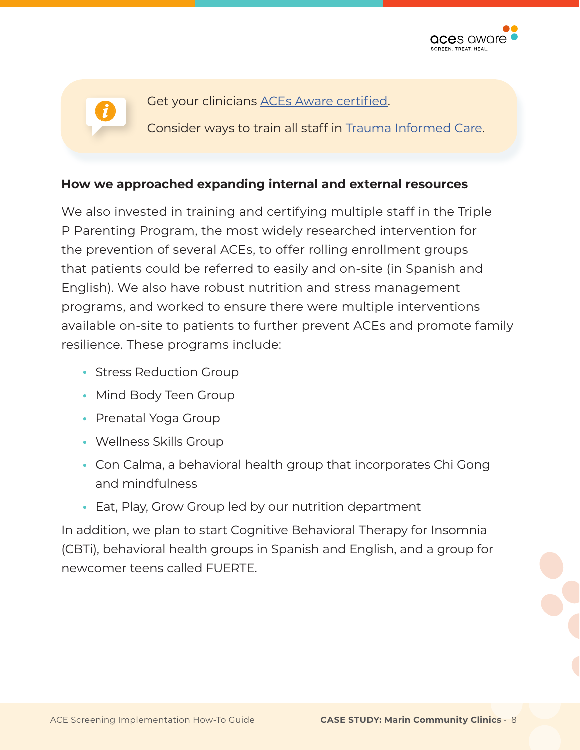

Get your clinicians [ACEs Aware certified.](https://www.acesaware.org/learn-about-screening/training/)

Consider ways to train all staff in [Trauma Informed Care](https://www.acesaware.org/wp-content/uploads/2021/05/How-ACE-Screening-Toxic-Stress-Treatment-and-Trauma-Informed-Care-Work-Together.pdf).

### **How we approached expanding internal and external resources**

We also invested in training and certifying multiple staff in the Triple P Parenting Program, the most widely researched intervention for the prevention of several ACEs, to offer rolling enrollment groups that patients could be referred to easily and on-site (in Spanish and English). We also have robust nutrition and stress management programs, and worked to ensure there were multiple interventions available on-site to patients to further prevent ACEs and promote family resilience. These programs include:

- **•** Stress Reduction Group
- Mind Body Teen Group
- Prenatal Yoga Group
- Wellness Skills Group
- Con Calma, a behavioral health group that incorporates Chi Gong and mindfulness
- **•** Eat, Play, Grow Group led by our nutrition department

In addition, we plan to start Cognitive Behavioral Therapy for Insomnia (CBTi), behavioral health groups in Spanish and English, and a group for newcomer teens called FUERTE.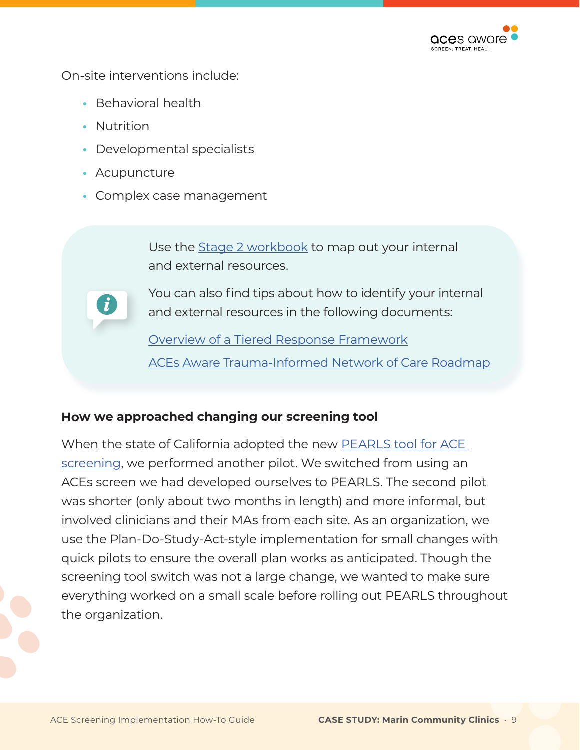

On-site interventions include:

- Behavioral health
- Nutrition
- Developmental specialists
- Acupuncture
- Complex case management

Use the [Stage 2 workbook](https://www.acesaware.org/wp-content/uploads/2021/09/Stage-2-Workbook.pdf) to map out your internal and external resources.

You can also find tips about how to identify your internal and external resources in the following documents:

[Overview of a Tiered Response Framework](https://www.acesaware.org/wp-content/uploads/2021/09/An-Overview-A-Tiered-Clinical-Response-Framework-for-Addressing-Toxic-Stress.pdf) [ACEs Aware Trauma-Informed Network of Care Roadmap](http://www.acesaware.org/network-of-care)

### **How we approached changing our screening tool**

When the state of California adopted the new [PEARLS tool for ACE](http://www.ACEsAware.org/screening-tools)  [screening,](http://www.ACEsAware.org/screening-tools) we performed another pilot. We switched from using an ACEs screen we had developed ourselves to PEARLS. The second pilot was shorter (only about two months in length) and more informal, but involved clinicians and their MAs from each site. As an organization, we use the Plan-Do-Study-Act-style implementation for small changes with quick pilots to ensure the overall plan works as anticipated. Though the screening tool switch was not a large change, we wanted to make sure everything worked on a small scale before rolling out PEARLS throughout the organization.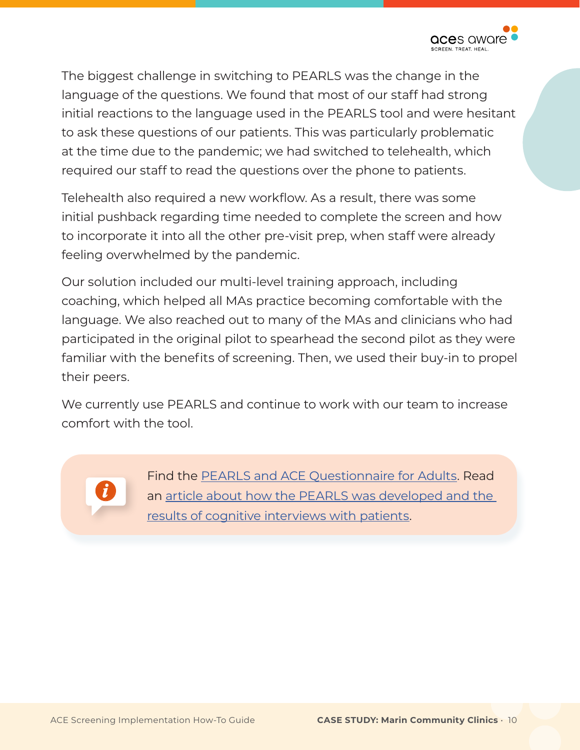

The biggest challenge in switching to PEARLS was the change in the language of the questions. We found that most of our staff had strong initial reactions to the language used in the PEARLS tool and were hesitant to ask these questions of our patients. This was particularly problematic at the time due to the pandemic; we had switched to telehealth, which required our staff to read the questions over the phone to patients.

Telehealth also required a new workflow. As a result, there was some initial pushback regarding time needed to complete the screen and how to incorporate it into all the other pre-visit prep, when staff were already feeling overwhelmed by the pandemic.

Our solution included our multi-level training approach, including coaching, which helped all MAs practice becoming comfortable with the language. We also reached out to many of the MAs and clinicians who had participated in the original pilot to spearhead the second pilot as they were familiar with the benefits of screening. Then, we used their buy-in to propel their peers.

We currently use PEARLS and continue to work with our team to increase comfort with the tool.

Find the [PEARLS and ACE Questionnaire for Adults.](http://www.ACEsAware.org/screening-tools) Read an [article about how the PEARLS was developed and the](https://journals.plos.org/plosone/article?id=10.1371/journal.pone.0208088)  [results of cognitive interviews with patients](https://journals.plos.org/plosone/article?id=10.1371/journal.pone.0208088).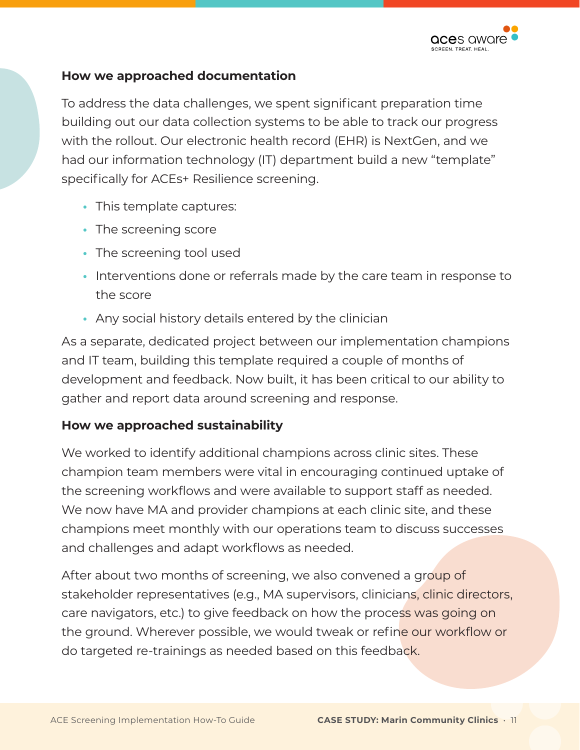

#### **How we approached documentation**

To address the data challenges, we spent significant preparation time building out our data collection systems to be able to track our progress with the rollout. Our electronic health record (EHR) is NextGen, and we had our information technology (IT) department build a new "template" specifically for ACEs+ Resilience screening.

- **•** This template captures:
- The screening score
- The screening tool used
- **•** Interventions done or referrals made by the care team in response to the score
- Any social history details entered by the clinician

As a separate, dedicated project between our implementation champions and IT team, building this template required a couple of months of development and feedback. Now built, it has been critical to our ability to gather and report data around screening and response.

### **How we approached sustainability**

We worked to identify additional champions across clinic sites. These champion team members were vital in encouraging continued uptake of the screening workflows and were available to support staff as needed. We now have MA and provider champions at each clinic site, and these champions meet monthly with our operations team to discuss successes and challenges and adapt workflows as needed.

After about two months of screening, we also convened a group of stakeholder representatives (e.g., MA supervisors, clinicians, clinic directors, care navigators, etc.) to give feedback on how the process was going on the ground. Wherever possible, we would tweak or refine our workflow or do targeted re-trainings as needed based on this feedback.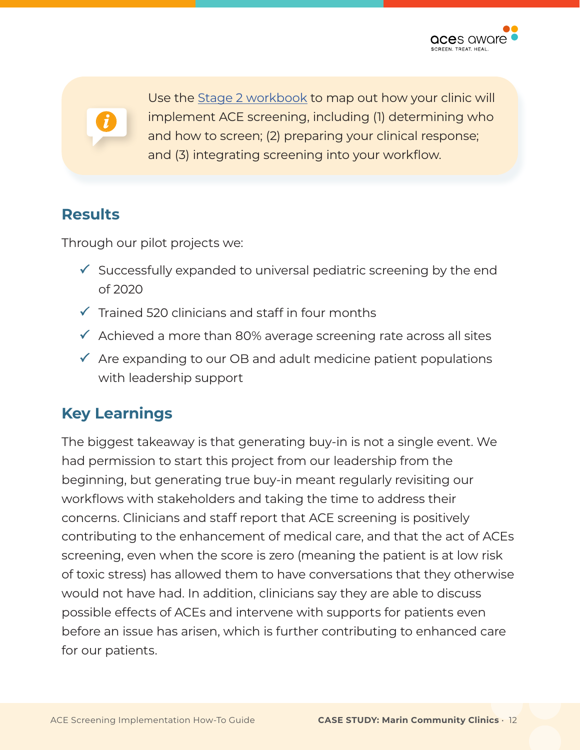Use the [Stage 2 workbook](https://www.acesaware.org/wp-content/uploads/2021/09/Stage-2-Workbook.pdf) to map out how your clinic will implement ACE screening, including (1) determining who and how to screen; (2) preparing your clinical response; and (3) integrating screening into your workflow.

## **Results**

Through our pilot projects we:

- $\checkmark$  Successfully expanded to universal pediatric screening by the end of 2020
- $\checkmark$  Trained 520 clinicians and staff in four months
- $\checkmark$  Achieved a more than 80% average screening rate across all sites
- $\checkmark$  Are expanding to our OB and adult medicine patient populations with leadership support

## **Key Learnings**

The biggest takeaway is that generating buy-in is not a single event. We had permission to start this project from our leadership from the beginning, but generating true buy-in meant regularly revisiting our workflows with stakeholders and taking the time to address their concerns. Clinicians and staff report that ACE screening is positively contributing to the enhancement of medical care, and that the act of ACEs screening, even when the score is zero (meaning the patient is at low risk of toxic stress) has allowed them to have conversations that they otherwise would not have had. In addition, clinicians say they are able to discuss possible effects of ACEs and intervene with supports for patients even before an issue has arisen, which is further contributing to enhanced care for our patients.